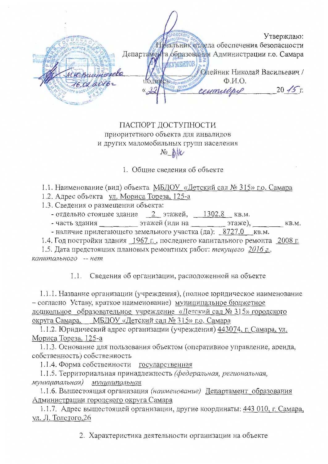Утверждаю: Начальник отдела обеспечения безопасности Департамента образования Администрации г.о. Самара **EVMEHTOB** Олейник Николай Васильевич /  $\Phi$ <sub>M</sub> $\Omega$ <sub>n</sub> C.Bodo INN  $20/5$ cessoruspel

## ПАСПОРТ ДОСТУПНОСТИ приоритетного объекта для инвалидов и других маломобильных групп населения

1. Общие сведения об объекте

1.1. Наименование (вид) объекта МБДОУ «Летский сад № 315» г.о. Самара

1.2. Адрес объекта ул. Мориса Тореза. 125-а

1.3. Сведения о размещении объекта:

- отдельно стоящее здание  $2$  этажей,  $1302.8$  кв.м.

- часть здания этажей (или на этаже), кв.м.

- наличие прилегающего земельного участка (да): 8727.0 кв.м.

1.4. Год постройки здания 1967 г., последнего капитального ремонта 2008 г.

1.5. Дата предстоящих плановых ремонтных работ: текущего 2016 г. капитального -- нет

1.1. Сведения об организации, расположенной на объекте

1.1.1. Название организации (учреждения), (полное юридическое наименование - согласно Уставу, краткое наименование) муниципальное бюджетное дошкольное образовательное учреждение «Детский сад № 315» городского округа Самара, МБДОУ «Детский сад № 315» г.о. Самара

1.1.2. Юридический адрес организации (учреждения) 443074, г. Самара, ул. Мориса Тореза, 125-а

1.1.3. Основание для пользования объектом (оперативное управление, аренда, собственность) собственность

1.1.4. Форма собственности государственная

1.1.5. Территориальная принадлежность (федеральная, региональная, муниципальная) муниципальная

1.1.6. Вышестоящая организация (наименование) Департамент образования Администрации городского округа Самара

1.1.7. Адрес вышестоящей организации, другие координаты: 443 010, г. Самара, ул. Л. Толстого 26

2. Характеристика деятельности организации на объекте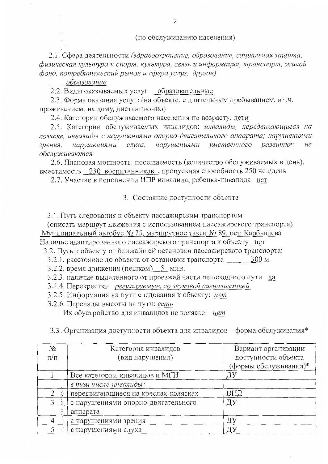(по обслуживанию населения)

2.1. Сфера деятельности (здравоохранение, образование, социальная защита, физическая культура и спорт, культура, связь и информация, транспорт, жилой фонд, потребительский рынок и сфера услуг, другое)

образование

2.2. Виды оказываемых услуг образовательные

2.3. Форма оказания услуг: (на объекте, с длительным пребыванием, в т.ч. проживанием, на дому, дистанционно)

2.4. Категории обслуживаемого населения по возрасту: дети

2.5. Категории обслуживаемых инвалидов: инвалиды, передвигающиеся на коляске, инвалиды с нарушениями опорно-двигательного аппарата; нарушениями нарушениями слуха, нарушениями умственного развития: зрения,  $He$ обслуживаются.

2.6. Плановая мощность: посещаемость (количество обслуживаемых в день), вместимость 230 воспитанников, пропускная способность 250 чел/день

2.7. Участие в исполнении ИПР инвалида, ребенка-инвалида нет

3. Состояние доступности объекта

3.1. Путь следования к объекту пассажирским транспортом

(описать маршрут движения с использованием пассажирского транспорта) Муниципальный автобус № 75, маршрутное такси № 89, ост. Карбышева Наличие адаптированного пассажирского транспорта к объекту нет

3.2. Путь к объекту от ближайшей остановки пассажирского транспорта:

3.2.1. расстояние до объекта от остановки транспорта 300 м.

3.2.2. время движения (пешком) 5 мин.

3.2.3. наличие выделенного от проезжей части пешеходного пути да

- 3.2.4. Перекрестки: регулируемые, со звуковой сигнализацией,
- 3.2.5. Информация на пути следования к объекту: нет
- 3.2.6. Перепады высоты на пути: есть

Их обустройство для инвалидов на коляске: нет

3.3. Организация доступности объекта для инвалидов - форма обслуживания\*

| Nº             | Категория инвалидов                 | Вариант организации   |  |
|----------------|-------------------------------------|-----------------------|--|
| $\Pi/\Pi$      | (вид нарушения)                     | доступности объекта   |  |
|                |                                     | (формы обслуживания)* |  |
|                | Все категории инвалидов и МГН       | ДУ                    |  |
|                | в том числе инвалиды:               |                       |  |
|                | передвигающиеся на креслах-колясках | ВНД                   |  |
| $\overline{4}$ | с нарушениями опорно-двигательного  | ДУ                    |  |
|                | аппарата                            |                       |  |
|                | с нарушениями зрения                | ДУ                    |  |
|                | с нарушениями слуха                 | Д١                    |  |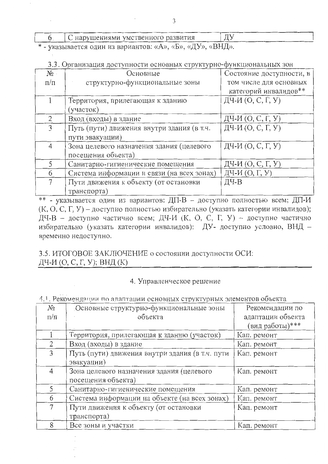С нарушениями умственного развития 6

\* - указывается один из вариантов: «А», «Б», «ДУ», «ВНД».

|  |  |  | 3.3. Организация доступности основных структурно-функциональных зог |  |
|--|--|--|---------------------------------------------------------------------|--|
|  |  |  |                                                                     |  |

| $N_{2}$   | Основные                                   | Состояние доступности, в |
|-----------|--------------------------------------------|--------------------------|
| $\Pi/\Pi$ | структурно-функциональные зоны             | том числе для основных   |
|           |                                            | категорий инвалидов**    |
|           | Территория, прилегающая к зданию           | ДЧ-И (О, С, Г, У)        |
|           | (участок)                                  |                          |
|           | Вход (входы) в здание                      | ДЧ-И $(O, C, \Gamma, V)$ |
|           | Путь (пути) движения внутри здания (в т.ч. | ДЧ-И $(O, C, \Gamma, Y)$ |
|           | пути эвакуации)                            |                          |
| 4         | Зона целевого назначения здания (целевого  | ДЧ-И $(O, C, \Gamma, Y)$ |
|           | посещения объекта)                         |                          |
| 5.        | Санитарно-гигиенические помещения          | ДЧ-И (О, С, Г, У)        |
| 6         | Система информации и связи (на всех зонах) | ДЧ-И (О, Г, У)           |
|           | Пути движения к объекту (от остановки      | ДЧ-В                     |
|           | транспорта)                                |                          |

\*\* - указывается один из вариантов: ДП-В - доступно полностью всем; ДП-И (К, О, С, Г, У) – доступно полностью избирательно (указать категории инвалидов); ДЧ-В - доступно частично всем; ДЧ-И (К, О, С, Г, У) - доступно частично избирательно (указать категории инвалидов): ДУ- доступно условно, ВНД временно недоступно.

3.5. ИТОГОВОЕ ЗАКЛЮЧЕНИЕ о состоянии доступности ОСИ: ДЧ-И (О, С, Г, У); ВНД (К)

## 4. Управленческое решение

## 4.1. Рекомендации по алаптации основных структурных элементов объекта

| No             | Основные структурно-функциональные зоны         | Рекомендации по   |
|----------------|-------------------------------------------------|-------------------|
| $\pi/\pi$      | объекта                                         | адаптации объекта |
|                |                                                 | (вид работы)***   |
|                | Территория, прилегающая к зданию (участок)      | Кап. ремонт       |
| $\overline{2}$ | Вход (входы) в здание                           | Кап. ремонт       |
| 3              | Путь (пути) движения внутри здания (в т.ч. пути | Кап. ремонт       |
|                | эвакуации)                                      |                   |
| $\overline{4}$ | Зона целевого назначения здания (целевого       | Кап. ремонт       |
|                | посещения объекта)                              |                   |
|                | Санитарно-гигиенические помещения               | Кап. ремонт       |
| 6              | Система информации на объекте (на всех зонах)   | Кап. ремонт       |
|                | Пути движения к объекту (от остановки           | Кап. ремонт       |
|                | транспорта)                                     |                   |
| 8              | Все зоны и участки                              | Кап. ремонт       |

ДУ